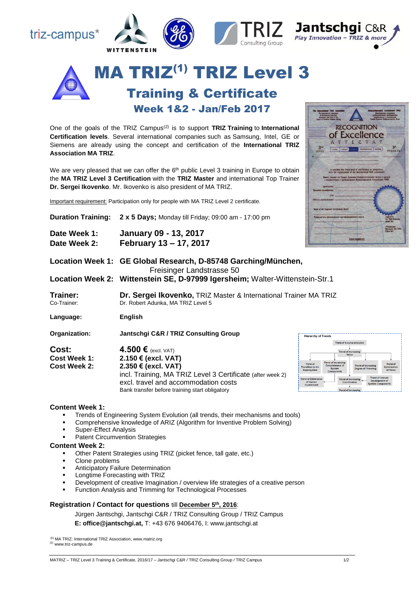



One of the goals of the TRIZ Campus(2) is to support **TRIZ Training** to **International Certification levels**. Several international companies such as Samsung, Intel, GE or Siemens are already using the concept and certification of the **International TRIZ Association MA TRIZ**.

We are very pleased that we can offer the  $6<sup>th</sup>$  public Level 3 training in Europe to obtain the **MA TRIZ Level 3 Certification** with the **TRIZ Master** and international Top Trainer **Dr. Sergei Ikovenko**. Mr. Ikovenko is also president of MA TRIZ.

Important requirement: Participation only for people with MA TRIZ Level 2 certificate.

| <b>Duration Training:</b>                    | 2 x 5 Days; Monday till Friday; 09:00 am - 17:00 pm                                                                                                                                                                         | хатель осганиального сертификационного совета                                                                                                                                                                                                                                                                                                                                             |
|----------------------------------------------|-----------------------------------------------------------------------------------------------------------------------------------------------------------------------------------------------------------------------------|-------------------------------------------------------------------------------------------------------------------------------------------------------------------------------------------------------------------------------------------------------------------------------------------------------------------------------------------------------------------------------------------|
| Date Week 1:<br>Date Week 2:                 | <b>January 09 - 13, 2017</b><br>February 13 - 17, 2017                                                                                                                                                                      | www.matriz.n                                                                                                                                                                                                                                                                                                                                                                              |
|                                              | Location Week 1: GE Global Research, D-85748 Garching/München,<br>Freisinger Landstrasse 50<br>Location Week 2: Wittenstein SE, D-97999 Igersheim; Walter-Wittenstein-Str.1                                                 |                                                                                                                                                                                                                                                                                                                                                                                           |
| Trainer:<br>Co-Trainer:                      | Dr. Sergei Ikovenko, TRIZ Master & International Trainer MA TRIZ<br>Dr. Robert Adunka, MA TRIZ Level 5                                                                                                                      |                                                                                                                                                                                                                                                                                                                                                                                           |
| Language:                                    | English                                                                                                                                                                                                                     |                                                                                                                                                                                                                                                                                                                                                                                           |
| Organization:                                | Jantschgi C&R / TRIZ Consulting Group                                                                                                                                                                                       | <b>Hierarchy of Trends</b>                                                                                                                                                                                                                                                                                                                                                                |
| Cost:<br><b>Cost Week 1:</b><br>Cost Week 2: | 4.500 € $(excl. VAT)$<br>2.150 € (excl. VAT)<br>2.350 € (excl. VAT)<br>incl. Training, MA TRIZ Level 3 Certificate (after week 2)<br>excl. travel and accommodation costs<br>Bank transfer before training start obligatory | Trend of S-curve evolution<br><b>Trend of Increasin</b><br>Value<br><b>Trend of Increasing</b><br><b>Trend of</b><br>Completeness of<br><b>Trend of Increasing</b><br><b>Transition to the</b><br>Optin<br><b>System</b><br><b>Dearee of Trimmine</b><br>Supersystem<br>Components<br><b>Trend of Increasing</b><br>of Humar<br>Coordination<br>Involvement<br><b>Trend of Increasing</b> |

## **Content Week 1:**

- Trends of Engineering System Evolution (all trends, their mechanisms and tools)
- Comprehensive knowledge of ARIZ (Algorithm for Inventive Problem Solving)
- Super-Effect Analysis
- Patent Circumvention Strategies

#### **Content Week 2:**

- Other Patent Strategies using TRIZ (picket fence, tall gate, etc.)
- Clone problems
- Anticipatory Failure Determination
- Longtime Forecasting with TRIZ
- Development of creative Imagination / overview life strategies of a creative person
- Function Analysis and Trimming for Technological Processes

## **Registration / Contact for questions** till **December 5 th , 2016**:

Jürgen Jantschgi, Jantschgi C&R / TRIZ Consulting Group / TRIZ Campus

**E: office@jantschgi.at,** T: +43 676 9406476, I: www.jantschgi.at

**(**1) MA TRIZ: International TRIZ Association, www.matriz.org (2) www.triz-campus.de

#### MATRIZ – TRIZ Level 3 Training & Certificate, 2016/17 – Jantschgi C&R / TRIZ Consulting Group / TRIZ Campus 1/2